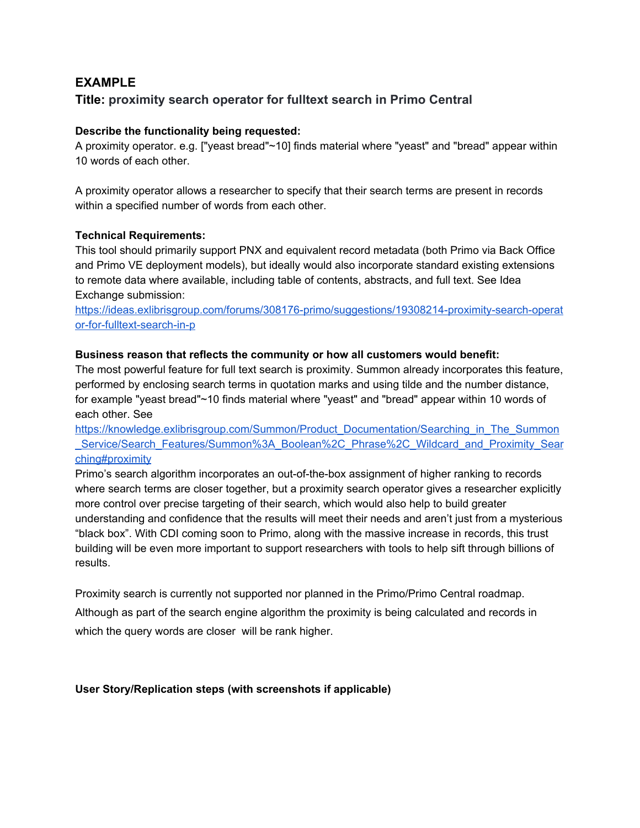# **EXAMPLE**

## **Title: proximity search operator for fulltext search in Primo Central**

### **Describe the functionality being requested:**

A proximity operator. e.g. ["yeast bread"~10] finds material where "yeast" and "bread" appear within 10 words of each other.

A proximity operator allows a researcher to specify that their search terms are present in records within a specified number of words from each other.

#### **Technical Requirements:**

This tool should primarily support PNX and equivalent record metadata (both Primo via Back Office and Primo VE deployment models), but ideally would also incorporate standard existing extensions to remote data where available, including table of contents, abstracts, and full text. See Idea Exchange submission[:](https://ideas.exlibrisgroup.com/forums/308176-primo/suggestions/19308214-proximity-search-operator-for-fulltext-search-in-p)

[https://ideas.exlibrisgroup.com/forums/308176-primo/suggestions/19308214-proximity-search-operat](https://ideas.exlibrisgroup.com/forums/308176-primo/suggestions/19308214-proximity-search-operator-for-fulltext-search-in-p) [or-for-fulltext-search-in-p](https://ideas.exlibrisgroup.com/forums/308176-primo/suggestions/19308214-proximity-search-operator-for-fulltext-search-in-p)

#### **Business reason that reflects the community or how all customers would benefit:**

The most powerful feature for full text search is proximity. Summon already incorporates this feature, performed by enclosing search terms in quotation marks and using tilde and the number distance, for example "yeast bread"~10 finds material where "yeast" and "bread" appear within 10 words of each other. Se[e](https://knowledge.exlibrisgroup.com/Summon/Product_Documentation/Searching_in_The_Summon_Service/Search_Features/Summon%3A_Boolean%2C_Phrase%2C_Wildcard_and_Proximity_Searching#proximity)

[https://knowledge.exlibrisgroup.com/Summon/Product\\_Documentation/Searching\\_in\\_The\\_Summon](https://knowledge.exlibrisgroup.com/Summon/Product_Documentation/Searching_in_The_Summon_Service/Search_Features/Summon%3A_Boolean%2C_Phrase%2C_Wildcard_and_Proximity_Searching#proximity) Service/Search\_Features/Summon%3A\_Boolean%2C\_Phrase%2C\_Wildcard\_and\_Proximity\_Sear [ching#proximity](https://knowledge.exlibrisgroup.com/Summon/Product_Documentation/Searching_in_The_Summon_Service/Search_Features/Summon%3A_Boolean%2C_Phrase%2C_Wildcard_and_Proximity_Searching#proximity)

Primo's search algorithm incorporates an out-of-the-box assignment of higher ranking to records where search terms are closer together, but a proximity search operator gives a researcher explicitly more control over precise targeting of their search, which would also help to build greater understanding and confidence that the results will meet their needs and aren't just from a mysterious "black box". With CDI coming soon to Primo, along with the massive increase in records, this trust building will be even more important to support researchers with tools to help sift through billions of results.

Proximity search is currently not supported nor planned in the Primo/Primo Central roadmap. Although as part of the search engine algorithm the proximity is being calculated and records in which the query words are closer will be rank higher.

## **User Story/Replication steps (with screenshots if applicable)**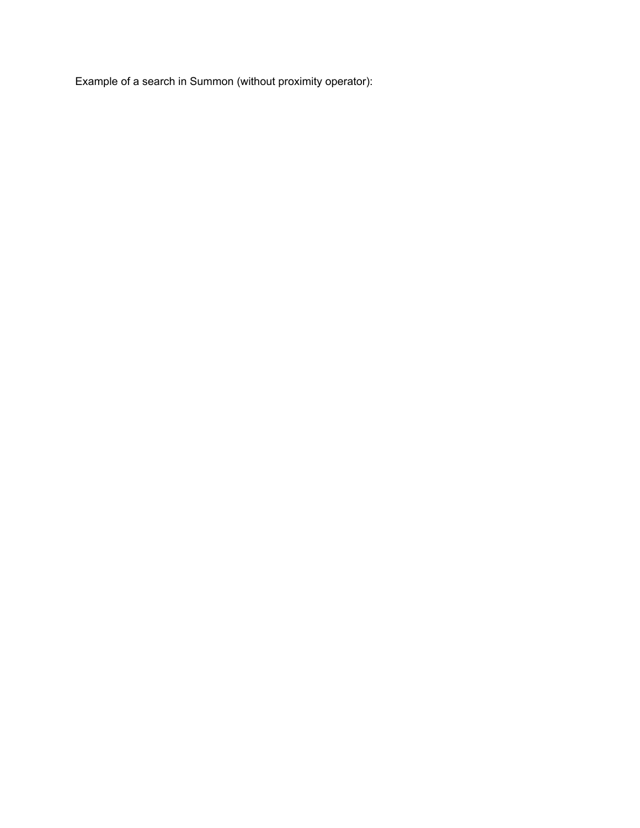Example of a search in Summon (without proximity operator):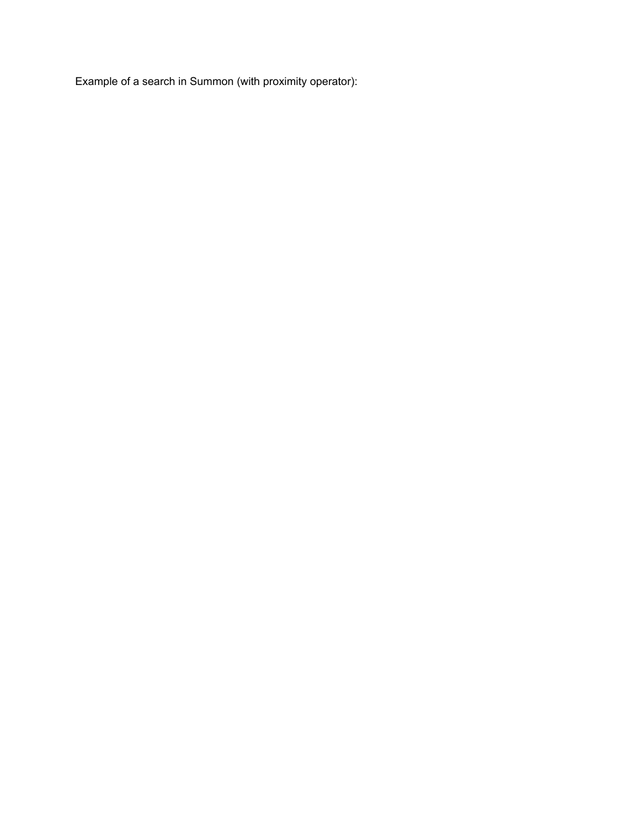Example of a search in Summon (with proximity operator):